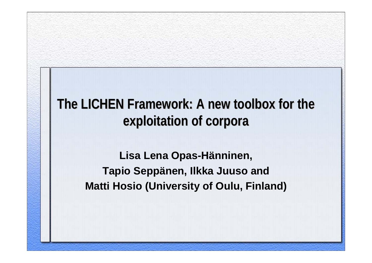### The LICHEN Framework: A new toolbox for the **exploitation of corpora exploitation of corpora**

**Lisa Lena Opas-Hänninen, Tapio Seppänen, Ilkka Juuso and Matti Hosio (University of Oulu, Finland)**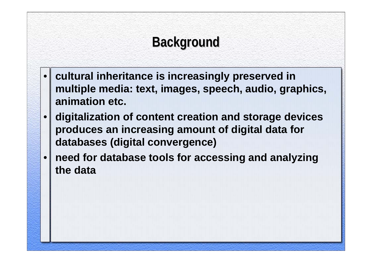# **Background Background**

- • **cultural inheritance is increasingly preserved in multiple media: text, images, speech, audio, graphics, animation etc.**
- • **digitalization of content creation and storage devices produces an increasing amount of digital data for databases (digital convergence)**
- • **need for database tools for accessing and analyzing the data**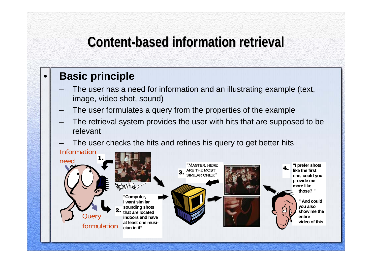# **Content Content-based information retrieval based information retrieval**

#### **Basic principle**

•

- The user has a need for information and an illustrating example (text, image, video shot, sound)
- The user formulates a query from the properties of the example
- The retrieval system provides the user with hits that are supposed to be relevant
- The user checks the hits and refines his query to get better hits

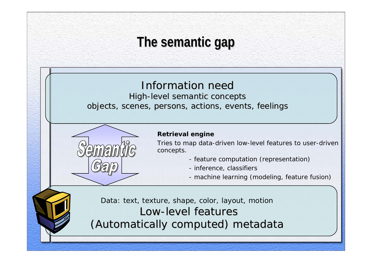# **The semantic gap The semantic gap**

#### Information need

High-level semantic concepts objects, scenes, persons, actions, events, feelings



#### **Retrieval engine**

Tri es to map data-driven low-level features to user-driven conce pts.

- *- feature computation (representation)*
- *- infere nce, classifiers*
- *- machine learning (modeling, feature fusion)*

Data: text, texture, shape, color, layout, motion Low-level features (Automatically computed) metadata (Automatically computed) metadata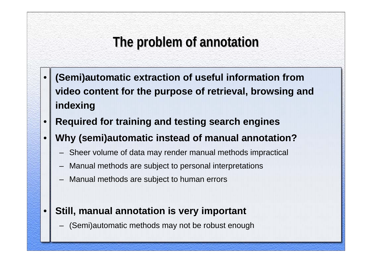# **The problem of annotation The problem of annotation**

- • **(Semi)automatic extraction of useful information from video content for the purpose of retrieval, browsing and indexing**
- •**Required for training and testing search engines**
- • **Why (semi)automatic instead of manual annotation?**
	- –Sheer volume of data may render manual methods impractical
	- –Manual methods are subject to personal interpretations
	- –Manual methods are subject to human errors
- • **Still, manual annotation is very important**
	- (Semi)automatic methods may not be robust enough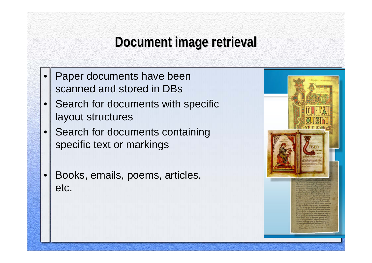# **Document image retrieval Document image retrieval**

- • Paper documents have been scanned and stored in DBs
- • Search for documents with specific layout structures
- • Search for documents containing specific text or markings
- • Books, emails, poems, articles, etc.

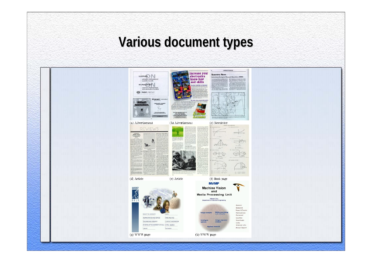### **Various document types**

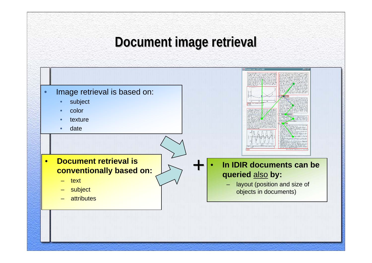### **Document image retrieval Document image retrieval**

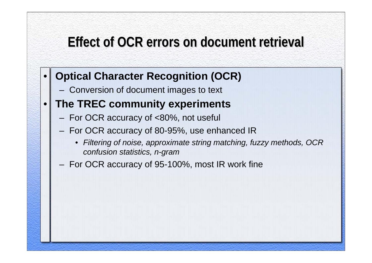### **Effect of OCR errors on document retrieval Effect of OCR errors on document retrieval**

- • **Optical Character Recognition (OCR)**
	- Conversion of document images to text
- • **The TREC community experiments**
	- For OCR accuracy of <80%, not useful
	- For OCR accuracy of 80-95%, use enhanced IR
		- *Filtering of noise, approximate string matching, fuzzy methods, OCR confusion statistics, n-gram*
	- For OCR accuracy of 95-100%, most IR work fine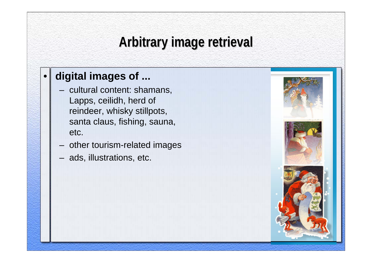# **Arbitrary image retrieval Arbitrary image retrieval**

### **digital images of ...**

•

- – cultural content: shamans, Lapps, ceilidh, herd of reindeer, whisky stillpots, santa claus, fishing, sauna, etc.
- other tourism-related images
- ads, illustrations, etc.

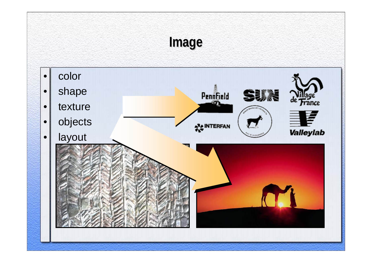# **Image**

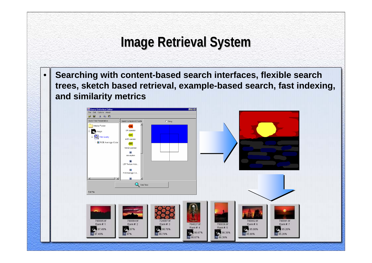# **Image Retrieval System Image Retrieval System**

• **Searching with content-based search interfaces, flexible search trees, sketch based retrieval, example-based search, fast indexing, and similarity metrics**

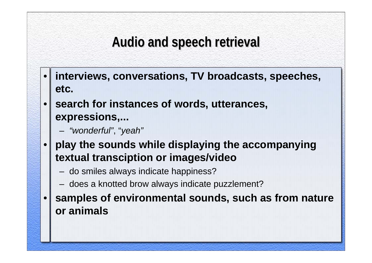### **Audio and speech retrieval Audio and speech retrieval**

- • **interviews, conversations, TV broadcasts, speeches, etc.**
- • **search for instances of words, utterances, expressions,...**
	- *"wonderful"*, "*yeah"*
- • **play the sounds while displaying the accompanying textual transciption or images/video**
	- do smiles always indicate happiness?
	- does a knotted brow always indicate puzzlement?

• **samples of environmental sounds, such as from nature or animals**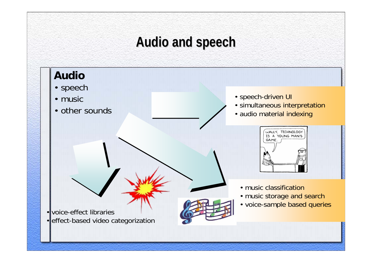# **Audio and speech Audio and speech**

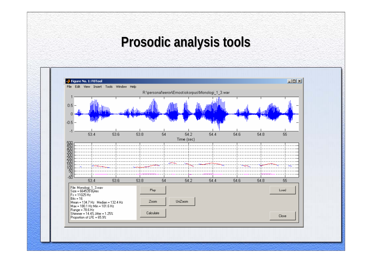### **Prosodic analysis tools Prosodic analysis tools**

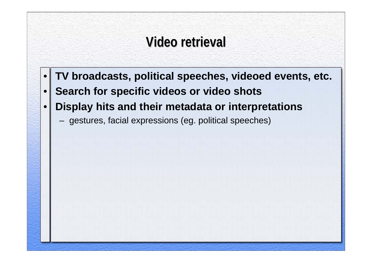### **Video retrieval Video retrieval**

- •**TV broadcasts, political speeches, videoed events, etc.**
- •**Search for specific videos or video shots**
- • **Display hits and their metadata or interpretations**
	- gestures, facial expressions (eg. political speeches)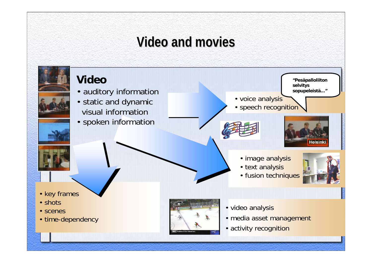### **Video and movies Video and movies**

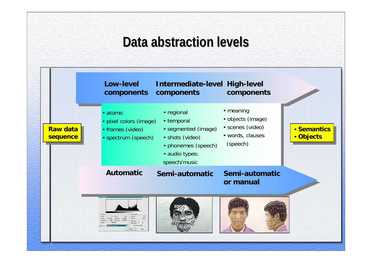### **Data abstraction levels Data abstraction levels**

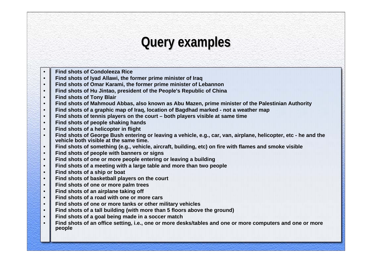### **Query examples Query examples**

- •**Find shots of Condoleeza Rice**
- •**Find shots of Iyad Allawi, the former prime minister of Iraq**
- •**Find shots of Omar Karami, the former prime minister of Lebannon**
- •**Find shots of Hu Jintao, president of the People's Republic of China**
- •**Find shots of Tony Blair**
- •**Find shots of Mahmoud Abbas, also known as Abu Mazen, prime minister of the Palestinian Authority**
- •**Find shots of a graphic map of Iraq, location of Bagdhad marked - not a weather map**
- •**Find shots of tennis players on the court – both players visible at same time**
- •**Find shots of people shaking hands**
- •**Find shots of a helicopter in flight**
- • **Find shots of George Bush entering or leaving a vehicle, e.g., car, van, airplane, helicopter, etc - he and the vehicle both visible at the same time.**
- •**Find shots of something (e.g., vehicle, aircraft, building, etc) on fire with flames and smoke visible**
- •**Find shots of people with banners or signs**
- •**Find shots of one or more people entering or leaving a building**
- •**Find shots of a meeting with a large table and more than two people**
- •**Find shots of a ship or boat**
- •**Find shots of basketball players on the court**
- •**Find shots of one or more palm trees**
- •**Find shots of an airplane taking off**
- •**Find shots of a road with one or more cars**
- •**Find shots of one or more tanks or other military vehicles**
- •**Find shots of a tall building (with more than 5 floors above the ground)**
- •**Find shots of a goal being made in a soccer match**
- • **Find shots of an office setting, i.e., one or more desks/tables and one or more computers and one or more people**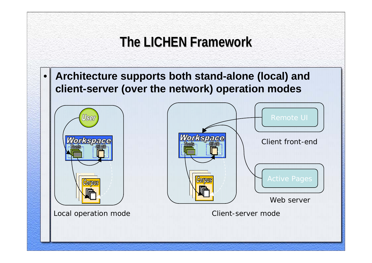# **The LICHEN Framework The LICHEN Framework**

• **Architecture supports both stand-alone (local) and client-server (over the network) operation modes**